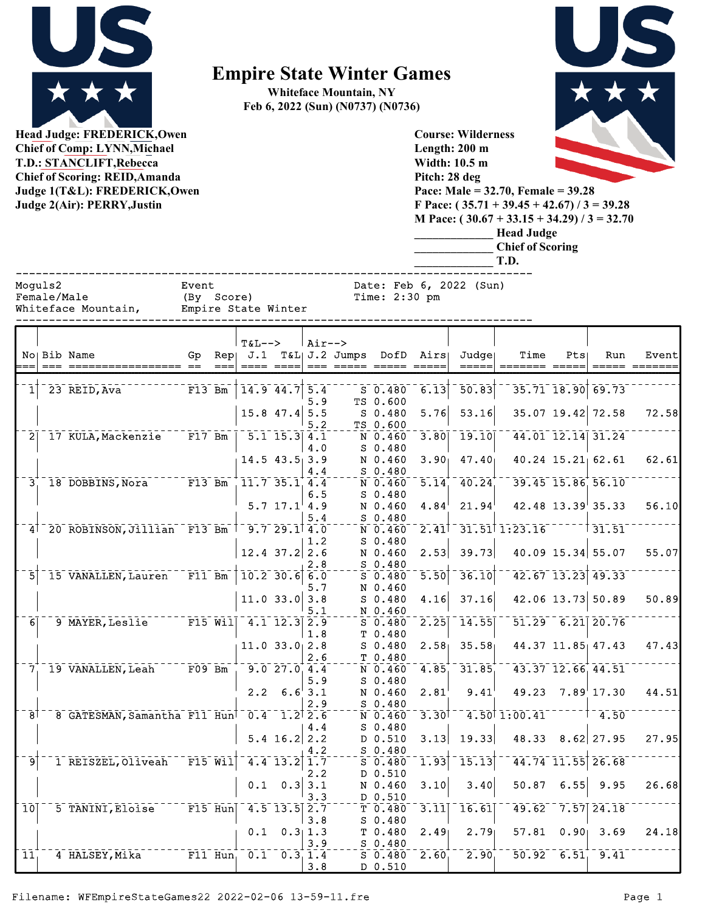

**Head Judge: FREDERICK,Owen Chief of Comp: LYNN,Michael T.D.: STANCLIFT,Rebecca Chief of Scoring: REID,Amanda Judge 1(T&L): FREDERICK,Owen** 

## **Empire State Winter Games**

**Whiteface Mountain, NY Feb 6, 2022 (Sun) (N0737) (N0736)**



**Judge 2(Air): PERRY,Justin**

**\_\_\_\_\_\_\_\_\_\_\_\_\_ Chief of Scoring \_\_\_\_\_\_\_\_\_\_\_\_\_ T.D.** ------------------------------------------------------------------------------ Moguls2 Event Date: Feb 6, 2022 (Sun)

**Course: Wilderness Length: 200 m Width: 10.5 m Pitch: 28 deg**

**F Pace: ( 35.71 + 39.45 + 42.67) / 3 = 39.28 M Pace: ( 30.67 + 33.15 + 34.29) / 3 = 32.70 \_\_\_\_\_\_\_\_\_\_\_\_\_ Head Judge**

| remale/Male         | IDY SCOLET   |  |
|---------------------|--------------|--|
| Whiteface Mountain, | Empire State |  |
|                     |              |  |

| Female/Male         | (By Score)          | Time: 2:30 pm |
|---------------------|---------------------|---------------|
| Whiteface Mountain, | Empire State Winter |               |
|                     |                     |               |

|                  | No Bib Name<br>===== ==<br>=== ============ | Gp                   | $==$      | $T&L-->$<br>$Rep \, J.1$<br>$\begin{tabular}{ll} \multicolumn{2}{l}{{\color{red}\boldsymbol{=}}} & \multicolumn{2}{l}{\color{blue}\boldsymbol{=}} & \multicolumn{2}{l}{\color{blue}\boldsymbol{=}} & \multicolumn{2}{l}{\color{blue}\boldsymbol{=}} & \multicolumn{2}{l}{\color{blue}\boldsymbol{=}} & \multicolumn{2}{l}{\color{blue}\boldsymbol{=}} & \multicolumn{2}{l}{\color{blue}\boldsymbol{=}} & \multicolumn{2}{l}{\color{blue}\boldsymbol{=}} & \multicolumn{2}{l}{\color{blue}\boldsymbol{=}} & \multicolumn{2}{l}{\color{blue}\boldsymbol{=}} & \multicolumn{2}{l}{\color$ |                                                     | $Air--$        | T&L  J.2 Jumps DofD Airs          |                   | Judgel<br>=====    | Time<br>======= =====       | Pts               | Run                                      | Event<br>===== ======= |
|------------------|---------------------------------------------|----------------------|-----------|----------------------------------------------------------------------------------------------------------------------------------------------------------------------------------------------------------------------------------------------------------------------------------------------------------------------------------------------------------------------------------------------------------------------------------------------------------------------------------------------------------------------------------------------------------------------------------------|-----------------------------------------------------|----------------|-----------------------------------|-------------------|--------------------|-----------------------------|-------------------|------------------------------------------|------------------------|
|                  | 23 REID, Ava                                | $F13$ Bm             |           | $14.9$ $44.7$ 5.4                                                                                                                                                                                                                                                                                                                                                                                                                                                                                                                                                                      |                                                     | 5.9            | $S$ 0.480<br>TS 0.600             | 6.13              | $\overline{50.83}$ |                             |                   | $35.71$ $18.90$ 69.73                    |                        |
|                  |                                             |                      |           |                                                                                                                                                                                                                                                                                                                                                                                                                                                                                                                                                                                        | $15.8$ 47.4 5.5                                     | 5.2            | $S$ 0.480<br>TS 0.600             | 5.76              | 53.16              |                             |                   | 35.07 19.42 72.58                        | 72.58                  |
| $\overline{2}$   | 17 KULA, Mackenzie                          | $F17$ Bm             |           |                                                                                                                                                                                                                                                                                                                                                                                                                                                                                                                                                                                        | $\overline{5.1}$ $\overline{15.3}$ $\overline{4.1}$ | 4.0            | $N$ 0.460<br>S 0.480              | 3.80              | 19.10              |                             |                   | 44.01 12.14 31.24                        |                        |
|                  |                                             |                      |           | $14.5$ $43.5$ 3.9                                                                                                                                                                                                                                                                                                                                                                                                                                                                                                                                                                      |                                                     | 4.4            | N 0.460<br>$S$ 0.480              | 3.90 <sub>1</sub> | 47.40              |                             |                   | 40.24 15.21 62.61                        | 62.61                  |
| $\bar{3}$        | 18 DOBBINS, Nora F13 Bm                     |                      |           | $\overline{11.7}$ $\overline{35.1}$ $\overline{4.4}$                                                                                                                                                                                                                                                                                                                                                                                                                                                                                                                                   |                                                     | 6.5            | N 0.460<br>$S_0.480$              | $\overline{5.14}$ | 40.24              |                             |                   | 39.45 15.86 56.10                        |                        |
|                  |                                             |                      |           |                                                                                                                                                                                                                                                                                                                                                                                                                                                                                                                                                                                        | $5.7$ 17.1 4.9                                      | 5.4            | N 0.460<br>$S$ 0.480              | 4.84              | 21.94              |                             |                   | $42.48$ $13.39$ 35.33                    | 56.10                  |
|                  | 4 <sup>1</sup> 20 ROBINSON, Jillian F13 Bm  |                      |           | $-9.729.114.0$                                                                                                                                                                                                                                                                                                                                                                                                                                                                                                                                                                         |                                                     | 1.2            | $N$ 0.460<br>$S$ 0.480            | 2.41              |                    | 31.51 1:23.16               |                   | 31.51                                    |                        |
|                  |                                             |                      |           | $12.4$ 37.2 2.6                                                                                                                                                                                                                                                                                                                                                                                                                                                                                                                                                                        |                                                     | 2.8            | N 0.460<br>S 0.480                | 2.53              | 39.73              |                             |                   | 40.09 15.34 55.07                        | 55.07                  |
|                  | 15 VANALLEN, Lauren F11 Bm                  |                      |           | $10.2$ $30.6$ 6.0                                                                                                                                                                                                                                                                                                                                                                                                                                                                                                                                                                      |                                                     | 5.7            | $S$ 0.480<br>N 0.460              | $\bar{5.50}$      | 36.10              |                             |                   | 42.67 13.23 49.33                        |                        |
|                  |                                             |                      |           |                                                                                                                                                                                                                                                                                                                                                                                                                                                                                                                                                                                        | $11.0$ 33.0 3.8                                     | 5.1            | $S$ 0.480<br>N 0.460              | 4.16              | 37.16              |                             |                   | 42.06 13.73 50.89                        | 50.89                  |
| 6 <sup>1</sup>   | 9 MAYER, Leslie                             | $F15$ Will           |           |                                                                                                                                                                                                                                                                                                                                                                                                                                                                                                                                                                                        | $4.1$ $12.3$ $2.9$                                  | 1.8            | $S$ 0.480<br>T 0.480              | 2.25              | 14.55              |                             |                   | $51.29 - 6.21$ 20.76                     |                        |
|                  |                                             |                      |           | $11.0$ 33.0 2.8                                                                                                                                                                                                                                                                                                                                                                                                                                                                                                                                                                        |                                                     | 2.6            | $S$ 0.480<br>T 0.480              | 2.58              | 35.58              |                             |                   | 44.37 11.85 47.43                        | 47.43                  |
| $\overline{J}$ . | 19 VANALLEN, Leah F09 Bm                    |                      |           |                                                                                                                                                                                                                                                                                                                                                                                                                                                                                                                                                                                        | $9.0$ $27.0$ $4.4$                                  | 5.9            | N 0.460<br>S 0.480                | 4.85              | 31.85              |                             |                   | 43.37 12.66 44.51                        |                        |
|                  |                                             |                      |           | 2.2                                                                                                                                                                                                                                                                                                                                                                                                                                                                                                                                                                                    | $6.6^{+}3.1$                                        | 2.9            | N 0.460<br>$S$ 0.480              | 2.81              | 9.41               | 49.23                       |                   | $7.89$ <sup><math>\pm</math></sup> 17.30 | 44.51                  |
| $\overline{8}$   | 8 GATESMAN, Samantha F11 Hun                |                      |           | $\sqrt{-0.4}$                                                                                                                                                                                                                                                                                                                                                                                                                                                                                                                                                                          | $-1.2$ 2.6                                          | 4.4            | N 0.460<br>$S$ 0.480              | 3.30              |                    | $4.50$ <sup>†</sup> 1:00.41 |                   | 4.50                                     |                        |
|                  |                                             |                      |           |                                                                                                                                                                                                                                                                                                                                                                                                                                                                                                                                                                                        | 5.4 $16.2$ 2.2                                      | 4.2            | D 0.510<br>S 0.480                | 3.13              | 19.33              | 48.33                       |                   | $8.62$ 27.95                             | 27.95                  |
| 9                | 1 REISZEL, Oliveah F15 Wil                  |                      |           |                                                                                                                                                                                                                                                                                                                                                                                                                                                                                                                                                                                        | $4.4$ 13.2 1.7                                      |                | $S$ 0.480<br>D 0.510              | 1.93              | 15.13              |                             |                   | 44.74 11.55 26.68                        |                        |
|                  |                                             |                      |           | 0.1                                                                                                                                                                                                                                                                                                                                                                                                                                                                                                                                                                                    | $0.3$ 3.1                                           | 2.2            | N 0.460                           | 3.10              | 3.40               | 50.87                       | 6.55              | 9.95                                     | 26.68                  |
| $\overline{10}$  | 5 TANINI, Eloise                            | $\overline{F15}$ Hun |           |                                                                                                                                                                                                                                                                                                                                                                                                                                                                                                                                                                                        | $4.5$ $13.5$ $2.7$                                  | 3.3            | D 0.510<br>$T_{0.480}$            | 3.11              | 16.61              | 49.62                       |                   | $7.57$ $24.18$                           |                        |
|                  |                                             |                      |           | 0.1                                                                                                                                                                                                                                                                                                                                                                                                                                                                                                                                                                                    |                                                     | 3.8<br>0.311.3 | $S$ 0.480<br>T 0.480              | 2.49              | 2.79               | 57.81                       | 0.90 <sub>1</sub> | 3.69                                     | 24.18                  |
| $\overline{11}$  | 4 HALSEY, Mika                              |                      | $F11$ Hun |                                                                                                                                                                                                                                                                                                                                                                                                                                                                                                                                                                                        | $0.1 - 0.3, 1.4$                                    | 3.9<br>3.8     | $S$ 0.480<br>$S$ 0.480<br>D 0.510 | 2.60              | $2.90^{-}$         |                             | $50.92 - 6.51$    | 9.41                                     |                        |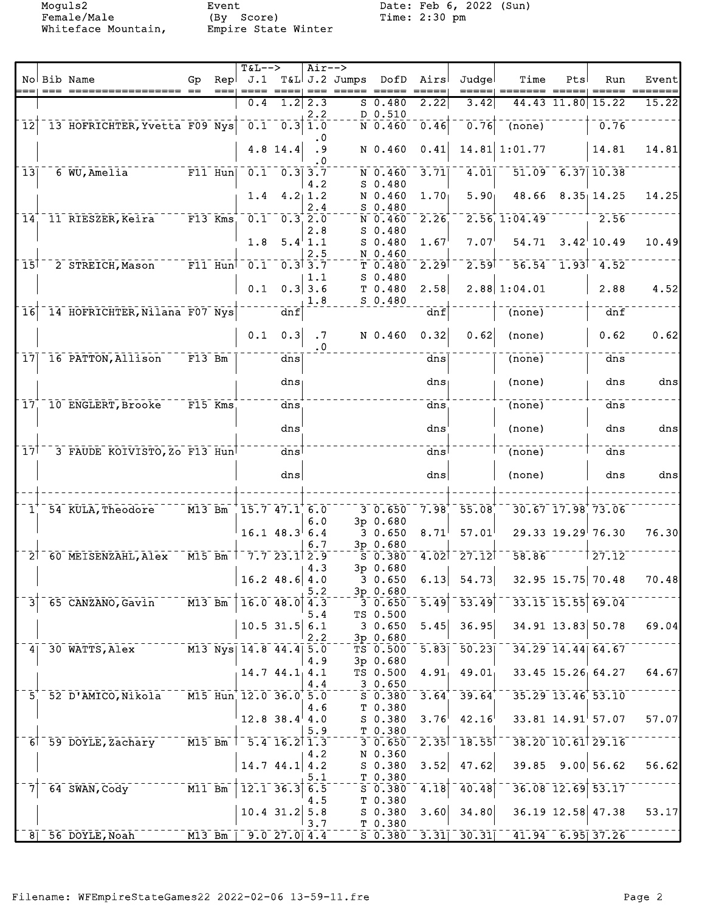Moguls2 Event Date: Feb 6, 2022 (Sun)<br>Female/Male (By Score) Time: 2:30 pm Female/Male (By Score) Time: 2:30 pm Whiteface Mountain, Empire State Winter

|                         |                                            |                     |           | $T&L-->$                    |                                        | $Air--$                               |                                                         |                                |                   |                          |                            |                    |                         |       |
|-------------------------|--------------------------------------------|---------------------|-----------|-----------------------------|----------------------------------------|---------------------------------------|---------------------------------------------------------|--------------------------------|-------------------|--------------------------|----------------------------|--------------------|-------------------------|-------|
|                         | No Bib Name                                | Gp                  | Rep       |                             |                                        |                                       | J.1 T&L J.2 Jumps DofD Airs<br>$=$ == $=$ ==== $=$ ==== |                                |                   | Judgel                   | Time                       | Pts                | Run                     | Event |
|                         |                                            |                     |           | $== == =$<br>0.4            | $1.2$ 2.3                              |                                       |                                                         | $S$ 0.480                      | 2.22              | =====<br>3.42            |                            |                    | 44.43 11.80 15.22       | 15.22 |
|                         |                                            |                     |           |                             |                                        | 2.2                                   |                                                         | D 0.510                        |                   |                          |                            |                    |                         |       |
| $\overline{12}$         | 13 HOFRICHTER, Yvetta F09 Nys  0.1 0.3 1.0 |                     |           |                             |                                        |                                       |                                                         | $N$ 0.460                      | 0.46              | 0.76                     | $\overline{\text{(none)}}$ |                    | 0.76                    |       |
|                         |                                            |                     |           |                             |                                        | $\cdot$ 0                             |                                                         |                                |                   |                          |                            |                    |                         |       |
|                         |                                            |                     |           |                             | $4.8$ 14.4                             | .9                                    |                                                         | N 0.460                        | 0.41              |                          | 14.81 1:01.77              |                    | 14.81                   | 14.81 |
|                         |                                            |                     |           |                             |                                        | . 0                                   |                                                         |                                |                   |                          |                            |                    |                         |       |
| 13                      | 6 WU, Amelia                               | $F11$ Hun           |           |                             | $0.1 \quad 0.3$ 3.7                    | 4.2                                   |                                                         | N 0.460<br>$S$ 0.480           | 3.71              | 4.01                     |                            | $51.09$ 6.37 10.38 |                         |       |
|                         |                                            |                     |           |                             | $1.4 \quad 4.2 \,   \, 1.2$            |                                       |                                                         | N 0.460                        | 1.70 <sub>1</sub> | 5.90 <sub>1</sub>        |                            |                    | $48.66$ $8.35$ 14.25    | 14.25 |
|                         |                                            |                     |           |                             |                                        | 2.4                                   |                                                         | $S$ 0.480                      |                   |                          |                            |                    |                         |       |
| 14 <sup>1</sup>         | 11 RIESZER, Keira                          |                     | $F13$ Kms |                             | $\sqrt{0.1}$ $\sqrt{0.3}$ $\sqrt{2.0}$ |                                       |                                                         | N 0.460                        | 2.26              |                          | $2.56$ , $1:04.49$         |                    | 2.56                    |       |
|                         |                                            |                     |           |                             |                                        | 2.8                                   |                                                         | $S$ 0.480                      |                   |                          |                            |                    |                         |       |
|                         |                                            |                     |           | 1.8                         |                                        | $5.4$ <sup><math>\pm</math></sup> 1.1 |                                                         | $S$ 0.480                      | 1.67              | 7.07                     | 54.71                      |                    | $3.42$ <sup>10.49</sup> | 10.49 |
| $\overline{15}$         | 2 STREICH, Mason                           |                     |           | $-$ F11 Hun $0.1 - 0.3$ 3.7 |                                        | 2.5                                   |                                                         | N 0.460<br>T0.480              | 2.29              | 2.59                     |                            |                    | $56.54$ 1.93 4.52       |       |
|                         |                                            |                     |           |                             |                                        | 1.1                                   |                                                         | $S$ 0.480                      |                   |                          |                            |                    |                         |       |
|                         |                                            |                     |           | 0.1                         |                                        | $0.3$ 3.6                             |                                                         | T 0.480                        | 2.58              |                          | 2.88 1:04.01               |                    | 2.88                    | 4.52  |
|                         |                                            |                     |           |                             |                                        | 1.8                                   |                                                         | $S$ 0.480                      |                   |                          |                            |                    |                         |       |
| $\overline{16}$         | 14 HOFRICHTER, Nilana F07 Nys              |                     |           |                             | dnf                                    |                                       |                                                         |                                | dnf               |                          | (none)                     |                    | dnf                     |       |
|                         |                                            |                     |           |                             |                                        |                                       |                                                         |                                |                   |                          |                            |                    |                         |       |
|                         |                                            |                     |           | 0.1                         | 0.3                                    | .7<br>. 0                             |                                                         | N 0.460                        | 0.32              | 0.62                     | (none)                     |                    | 0.62                    | 0.62  |
| $\bar{1}\bar{7}\bar{1}$ | 16 PATTON, Allison F13 Bm                  |                     |           |                             | dns                                    |                                       |                                                         |                                | dns               |                          | (none)                     |                    | dns                     |       |
|                         |                                            |                     |           |                             |                                        |                                       |                                                         |                                |                   |                          |                            |                    |                         |       |
|                         |                                            |                     |           |                             | $dns_1$                                |                                       |                                                         |                                | $dns_1$           |                          | (none)                     |                    | dns                     | dns   |
|                         |                                            |                     |           |                             |                                        |                                       |                                                         |                                |                   |                          |                            |                    |                         |       |
| 17 <sub>1</sub>         | 10 ENGLERT, Brooke                         | $F15$ Kms           |           |                             | dns                                    |                                       |                                                         |                                | dns               |                          | (none)                     |                    | dns                     |       |
|                         |                                            |                     |           |                             | dns                                    |                                       |                                                         |                                | dns               |                          | (none)                     |                    | dns                     | dns   |
|                         |                                            |                     |           |                             |                                        |                                       |                                                         |                                |                   |                          |                            |                    |                         |       |
| $\bar{1}\bar{7}$        | 3 FAUDE KOIVISTO, ZO F13 Hun               |                     |           |                             | dns                                    |                                       |                                                         |                                | dns               |                          | (none)                     |                    | dns                     |       |
|                         |                                            |                     |           |                             |                                        |                                       |                                                         |                                |                   |                          |                            |                    |                         |       |
|                         |                                            |                     |           |                             | dns                                    |                                       |                                                         |                                | dns               |                          | (none)                     |                    | dns                     | dns   |
|                         |                                            |                     |           |                             |                                        |                                       |                                                         |                                |                   |                          |                            |                    |                         |       |
| $1^{\circ}$             | 54 KULA, Theodore                          | $M13$ Bm            |           | 15.747.16.0                 |                                        |                                       |                                                         | 30.650                         | 7.98              | $55.08$ <sup>+</sup>     |                            |                    | 30.67 17.98 73.06       |       |
|                         |                                            |                     |           |                             |                                        | 6.0                                   |                                                         | 3p 0.680                       |                   |                          |                            |                    |                         |       |
|                         |                                            |                     |           |                             | $16.1$ 48.3 6.4                        |                                       |                                                         | 30.650                         | 8.71              | 57.01                    |                            |                    | $29.33$ 19.29 76.30     | 76.30 |
|                         |                                            |                     |           |                             |                                        | 6.7                                   |                                                         | 3p 0.680                       |                   |                          |                            |                    |                         |       |
|                         | 2 60 MEISENZAHL, Alex                      |                     | $M15$ Bm  |                             | $-7.7$ 23.1 2.9                        |                                       |                                                         | $S$ 0.380                      |                   | $4.02$ <sup>-27.12</sup> | 58.86                      |                    | 27.12                   |       |
|                         |                                            |                     |           |                             | $16.2$ 48.6 4.0                        | 4.3                                   |                                                         | 3p 0.680<br>$3 \t0.650 \t6.13$ |                   | 54.73                    |                            |                    | $32.95$ 15.75 70.48     | 70.48 |
|                         |                                            |                     |           |                             |                                        | 5.2                                   |                                                         | 3p 0.680                       |                   |                          |                            |                    |                         |       |
| 31                      | 65 CANZANO, Gavin                          | $\overline{M13}$ Bm |           |                             | $16.0$ $48.0$ $4.3$                    |                                       |                                                         | 30.650                         | $\overline{5.49}$ | $\overline{53.49}$       |                            |                    | 33.15 15.55 69.04       |       |
|                         |                                            |                     |           |                             |                                        | 5.4                                   |                                                         | TS 0.500                       |                   |                          |                            |                    |                         |       |
|                         |                                            |                     |           |                             | $10.5$ 31.5 6.1                        |                                       |                                                         | 3 0.650                        | 5.45              | 36.95                    |                            |                    | 34.91 13.83 50.78       | 69.04 |
| 4 <sub>1</sub>          | 30 WATTS, Alex                             |                     |           | M13 Nys 14.8 44.4 5.0       |                                        | 2.2                                   |                                                         | 3p0.680<br>TS 0.500            | $\overline{5.83}$ | 50.23                    |                            |                    | 34.29 14.44 64.67       |       |
|                         |                                            |                     |           |                             |                                        | 4.9                                   |                                                         | 3p 0.680                       |                   |                          |                            |                    |                         |       |
|                         |                                            |                     |           |                             | $14.7$ $44.1$ , $4.1$                  |                                       |                                                         | TS 0.500                       | 4.91              | 49.01                    |                            |                    | 33.45 15.26 64.27       | 64.67 |
|                         |                                            |                     |           |                             |                                        | 4.4                                   |                                                         | 30.650                         |                   |                          |                            |                    |                         |       |
| 5.                      | 52 D'AMICO, Nikola                         |                     |           | M15 Hun 12.0 36.0 5.0       |                                        |                                       |                                                         | $S$ 0.380                      | 3.64              | $39.64$ <sup>+</sup>     |                            |                    | $35.29$ $13.46$ $53.10$ |       |
|                         |                                            |                     |           |                             |                                        | 4.6                                   |                                                         | T 0.380                        |                   | 42.16                    |                            |                    | $33.81$ $14.91$ 57.07   | 57.07 |
|                         |                                            |                     |           |                             | $12.8$ 38.4 4.0                        | 5.9                                   |                                                         | $S_0.380$<br>T 0.380           | 3.76              |                          |                            |                    |                         |       |
|                         | 6 59 DOYLE, Zachary                        | $\overline{M15}$ Bm |           |                             | $-5.4$ 16.2 1.3                        |                                       |                                                         | $3\ 0.650$                     | 2.35              | $-18.55$                 |                            |                    | 38.20 10.61 29.16       |       |
|                         |                                            |                     |           |                             |                                        | 4.2                                   |                                                         | N 0.360                        |                   |                          |                            |                    |                         |       |
|                         |                                            |                     |           |                             | $14.7$ 44.1 4.2                        |                                       |                                                         | S 0.380                        | 3.52              | 47.62                    |                            |                    | $39.85$ $9.00$ 56.62    | 56.62 |
|                         |                                            |                     |           |                             |                                        | 5.1                                   |                                                         | T 0.380                        |                   |                          |                            |                    |                         |       |
|                         | 64 SWAN, Cody                              | $M11$ Bm            |           |                             | $\overline{12.1}$ 36.3                 | 6.5<br>4.5                            |                                                         | $S$ 0.380<br>T 0.380           | 4.18              | 40.48                    |                            |                    | 36.08 12.69 53.17       |       |
|                         |                                            |                     |           |                             | $10.4$ 31.2 5.8                        |                                       |                                                         | $S_0.380$                      | 3.60              | 34.80                    |                            |                    | 36.19 12.58 47.38       | 53.17 |
|                         |                                            |                     |           |                             |                                        | 3.7                                   |                                                         | T 0.380                        |                   |                          |                            |                    |                         |       |
|                         | $8$ <sup>-</sup> 56 DOYLE, Noah            |                     | $M13$ Bm  |                             | 9.027.04.4                             |                                       |                                                         | $S$ 0.380                      |                   | $-3.31$ $-30.31$         | $-41.94 - 6.95$ 37.26      |                    |                         |       |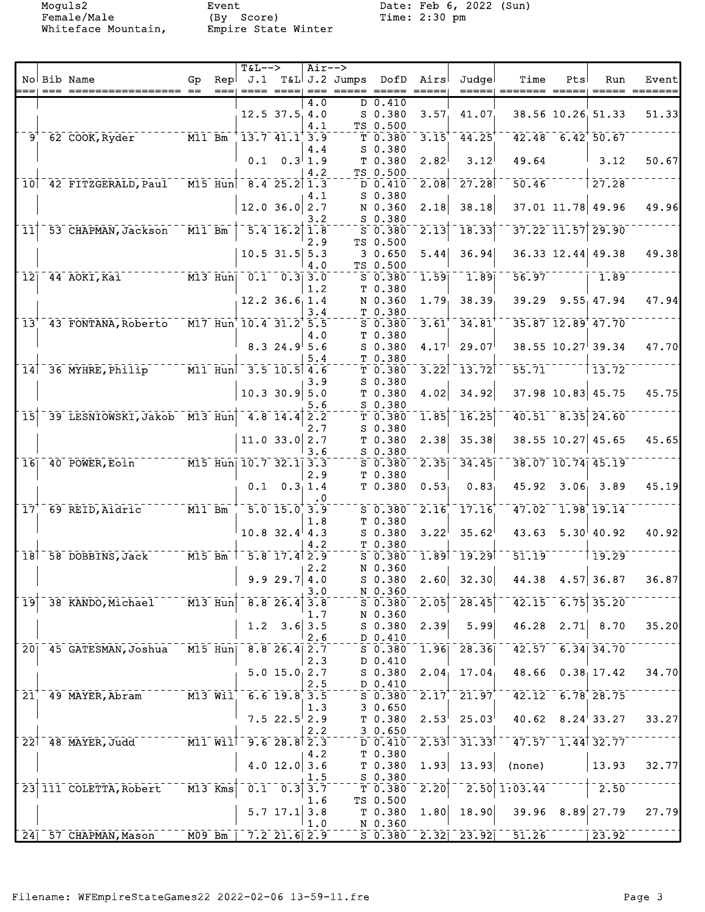Moguls2 Event Date: Feb 6, 2022 (Sun)<br>Female/Male (By Score) Time: 2:30 pm Female/Male (By Score) Time: 2:30 pm Whiteface Mountain, Empire State Winter

|                                        |                                                                                                      |                                     |      | $T&L-->$                              |                                    | Air--> |                                                                                                                                                                                                                                                                                                                                                                                                                                                                                       |                            |                       |                                                           |                            |     |                                      |                  |
|----------------------------------------|------------------------------------------------------------------------------------------------------|-------------------------------------|------|---------------------------------------|------------------------------------|--------|---------------------------------------------------------------------------------------------------------------------------------------------------------------------------------------------------------------------------------------------------------------------------------------------------------------------------------------------------------------------------------------------------------------------------------------------------------------------------------------|----------------------------|-----------------------|-----------------------------------------------------------|----------------------------|-----|--------------------------------------|------------------|
|                                        | No Bib Name                                                                                          | Gp                                  | Repl |                                       |                                    |        | J.1 T&L J.2 Jumps DofD                                                                                                                                                                                                                                                                                                                                                                                                                                                                |                            | Airs                  | Judgel                                                    | Time                       | Pts | Run                                  | Event            |
|                                        |                                                                                                      |                                     | $==$ |                                       |                                    |        | $\begin{tabular}{lllllllllll} \multicolumn{2}{l}{{\color{red}x}} & \multicolumn{2}{l}{\color{blue}x} & \multicolumn{2}{l}{\color{blue}x} & \multicolumn{2}{l}{\color{blue}x} & \multicolumn{2}{l}{\color{blue}x} & \multicolumn{2}{l}{\color{blue}x} & \multicolumn{2}{l}{\color{blue}x} & \multicolumn{2}{l}{\color{blue}x} & \multicolumn{2}{l}{\color{blue}x} & \multicolumn{2}{l}{\color{blue}x} & \multicolumn{2}{l}{\color{blue}x} & \multicolumn{2}{l}{\color{blue}x} & \mult$ |                            |                       | =====                                                     |                            |     |                                      | $=$ ==== ======= |
|                                        |                                                                                                      |                                     |      |                                       |                                    | 4.0    |                                                                                                                                                                                                                                                                                                                                                                                                                                                                                       | $D$ 0.410                  |                       |                                                           |                            |     |                                      |                  |
|                                        |                                                                                                      |                                     |      |                                       | $12.5$ 37.5 4.0                    |        |                                                                                                                                                                                                                                                                                                                                                                                                                                                                                       | $S$ 0.380                  | 3.57 <sub>1</sub>     | 41.07                                                     |                            |     | 38.56 10.26 51.33                    | 51.33            |
| $\bar{9}^{\tau}$                       |                                                                                                      |                                     |      | $13.7 \overline{41.1} \overline{3.9}$ |                                    | 4.1    |                                                                                                                                                                                                                                                                                                                                                                                                                                                                                       | TS 0.500                   |                       |                                                           |                            |     | $42.48 - 6.42 + 50.67$               |                  |
|                                        | $62$ COOK, Ryder                                                                                     |                                     |      |                                       |                                    |        |                                                                                                                                                                                                                                                                                                                                                                                                                                                                                       | T 0.380                    | $\overline{3.15}^{+}$ | 44.25                                                     |                            |     |                                      |                  |
|                                        |                                                                                                      |                                     |      |                                       | $0.1 \quad 0.3 \, 1.9$             | 4.4    |                                                                                                                                                                                                                                                                                                                                                                                                                                                                                       | $S$ 0.380                  |                       | 3.12                                                      | 49.64                      |     | $\vert$ 3.12                         | 50.67            |
|                                        |                                                                                                      |                                     |      |                                       |                                    | 4.2    |                                                                                                                                                                                                                                                                                                                                                                                                                                                                                       | T 0.380<br>TS 0.500        | 2.82                  |                                                           |                            |     |                                      |                  |
|                                        | 10 42 FITZGERALD, Paul M15 Hun                                                                       |                                     |      | $8.4$ 25.2 1.3                        |                                    |        |                                                                                                                                                                                                                                                                                                                                                                                                                                                                                       | D 0.410                    | 2.08                  | $-27.28$                                                  | 50.46                      |     | 27.28                                |                  |
|                                        |                                                                                                      |                                     |      |                                       |                                    |        |                                                                                                                                                                                                                                                                                                                                                                                                                                                                                       | $S$ 0.380                  |                       |                                                           |                            |     |                                      |                  |
|                                        |                                                                                                      |                                     |      |                                       | $12.0$ 36.0 2.7                    | 4.1    |                                                                                                                                                                                                                                                                                                                                                                                                                                                                                       | N 0.360                    | 2.18                  | 38.18                                                     |                            |     | 37.01 11.78 49.96                    | 49.96            |
|                                        |                                                                                                      |                                     |      |                                       |                                    | 3.2    |                                                                                                                                                                                                                                                                                                                                                                                                                                                                                       | $S$ 0.380                  |                       |                                                           |                            |     |                                      |                  |
| $\overline{1}\overline{1}$             | 53 CHAPMAN, Jackson M11 Bm                                                                           |                                     |      |                                       | $\overline{5.4}$ $\overline{16.2}$ | 1.8    |                                                                                                                                                                                                                                                                                                                                                                                                                                                                                       | $S$ 0.380                  | 2.13                  | 18.33                                                     |                            |     | $37.22$ <sup>-</sup> $11.57$ $29.90$ |                  |
|                                        |                                                                                                      |                                     |      |                                       |                                    | 2.9    |                                                                                                                                                                                                                                                                                                                                                                                                                                                                                       | TS 0.500                   |                       |                                                           |                            |     |                                      |                  |
|                                        |                                                                                                      |                                     |      |                                       | $10.5$ 31.5 5.3                    |        |                                                                                                                                                                                                                                                                                                                                                                                                                                                                                       | 30.650                     | 5.44                  | 36.94                                                     |                            |     | 36.33 12.44 49.38                    | 49.38            |
|                                        |                                                                                                      |                                     |      |                                       |                                    | 4.0    |                                                                                                                                                                                                                                                                                                                                                                                                                                                                                       | TS 0.500                   |                       |                                                           |                            |     |                                      |                  |
| $\overline{1}\overline{2}\overline{1}$ | $\overline{M13}$ $\overline{Hun}$ $\overline{0.1}$ $\overline{0.3}$ $\overline{3.0}$<br>44 AOKI, Kai |                                     |      |                                       |                                    |        |                                                                                                                                                                                                                                                                                                                                                                                                                                                                                       | S 0.380                    | 1.59                  | 1.89                                                      | 56.97                      |     | $-1.89$                              |                  |
|                                        |                                                                                                      |                                     |      |                                       |                                    | 1.2    |                                                                                                                                                                                                                                                                                                                                                                                                                                                                                       | T 0.380                    |                       |                                                           |                            |     |                                      |                  |
|                                        |                                                                                                      |                                     |      |                                       | $12.2$ 36.6 1.4                    |        |                                                                                                                                                                                                                                                                                                                                                                                                                                                                                       | N 0.360                    | 1.79                  | 38.39                                                     |                            |     | 39.29 9.55 47.94                     | 47.94            |
|                                        |                                                                                                      |                                     |      |                                       |                                    | 3.4    |                                                                                                                                                                                                                                                                                                                                                                                                                                                                                       | T 0.380                    |                       |                                                           |                            |     |                                      |                  |
| 13 <sup>′</sup>                        | $-43$ FONTANA, Roberto $-$ M17 Hun 10.4 31.2 5.5                                                     |                                     |      |                                       |                                    |        |                                                                                                                                                                                                                                                                                                                                                                                                                                                                                       | $S$ 0.380                  | $3.61$ <sup>+</sup>   | 34.81                                                     |                            |     | 35.87 12.89 47.70                    |                  |
|                                        |                                                                                                      |                                     |      |                                       |                                    | 4.0    |                                                                                                                                                                                                                                                                                                                                                                                                                                                                                       | T 0.380                    |                       |                                                           |                            |     |                                      |                  |
|                                        |                                                                                                      |                                     |      |                                       | 8.324.95.6                         |        |                                                                                                                                                                                                                                                                                                                                                                                                                                                                                       | $S$ 0.380                  | 4.17                  | 29.07                                                     |                            |     | $38.55$ $10.27$ 39.34                | 47.70            |
|                                        |                                                                                                      |                                     |      |                                       |                                    | 5.4    |                                                                                                                                                                                                                                                                                                                                                                                                                                                                                       | T 0.380                    |                       |                                                           |                            |     |                                      |                  |
|                                        | 14 36 MYHRE, Philip <sup>-----</sup> M11 Hun                                                         |                                     |      | $-3.5 - 10.5$ 4.6                     |                                    |        |                                                                                                                                                                                                                                                                                                                                                                                                                                                                                       | T 0.380                    | 3.22                  | $-13.72$                                                  | 55.71                      |     | $\bar{1}$ $\bar{3}$ , $\bar{7}2^-$   |                  |
|                                        |                                                                                                      |                                     |      |                                       |                                    | 3.9    |                                                                                                                                                                                                                                                                                                                                                                                                                                                                                       | $S$ 0.380                  |                       |                                                           |                            |     |                                      |                  |
|                                        |                                                                                                      |                                     |      |                                       | $10.3$ 30.9 5.0                    |        |                                                                                                                                                                                                                                                                                                                                                                                                                                                                                       | T <sub>0.380</sub>         | 4.02                  | 34.92                                                     |                            |     | 37.98 10.83 45.75                    | 45.75            |
|                                        |                                                                                                      |                                     |      |                                       |                                    | 5.6    |                                                                                                                                                                                                                                                                                                                                                                                                                                                                                       | $S$ 0.380                  |                       |                                                           |                            |     |                                      |                  |
| $\overline{15}$                        | 39 LESNIOWSKI, Jakob M13 Hun 4.8 14.4 2.2                                                            |                                     |      |                                       |                                    |        |                                                                                                                                                                                                                                                                                                                                                                                                                                                                                       | T 0.380                    | 1.85                  | 16.25                                                     |                            |     | $40.51 - 8.35$ 24.60                 |                  |
|                                        |                                                                                                      |                                     |      |                                       |                                    | 2.7    |                                                                                                                                                                                                                                                                                                                                                                                                                                                                                       | $S$ 0.380                  |                       |                                                           |                            |     |                                      |                  |
|                                        |                                                                                                      |                                     |      |                                       | $11.0$ 33.0 2.7                    |        |                                                                                                                                                                                                                                                                                                                                                                                                                                                                                       | T <sub>0.380</sub>         | 2.38                  | 35.38                                                     |                            |     | 38.55 10.27 45.65                    | 45.65            |
|                                        |                                                                                                      |                                     |      |                                       |                                    | 3.6    |                                                                                                                                                                                                                                                                                                                                                                                                                                                                                       | $S$ 0.380                  |                       |                                                           |                            |     |                                      |                  |
|                                        | 16 40 POWER, Eoin M15 Hun 10.7 32.1 3.3                                                              |                                     |      |                                       |                                    |        |                                                                                                                                                                                                                                                                                                                                                                                                                                                                                       | $S_0.380$                  | $\overline{2.35}$     | 34.45                                                     |                            |     | 38.07 10.74 45.19                    |                  |
|                                        |                                                                                                      |                                     |      |                                       |                                    | 2.9    |                                                                                                                                                                                                                                                                                                                                                                                                                                                                                       | T 0.380                    |                       |                                                           |                            |     |                                      |                  |
|                                        |                                                                                                      |                                     |      |                                       | $0.1 \quad 0.311.4$                |        |                                                                                                                                                                                                                                                                                                                                                                                                                                                                                       | T 0.380                    | 0.53                  | 0.83                                                      |                            |     | 45.92 3.06 3.89                      | 45.19            |
|                                        |                                                                                                      |                                     |      |                                       |                                    | . 0    |                                                                                                                                                                                                                                                                                                                                                                                                                                                                                       |                            |                       |                                                           |                            |     |                                      |                  |
| $\bar{1}\bar{7}$                       | 69 REID, Aidric M11 Bm                                                                               |                                     |      | $1 - 5.0 - 15.0 + 3.9$                |                                    |        |                                                                                                                                                                                                                                                                                                                                                                                                                                                                                       | $S$ 0.380                  | 2.16                  | $\overline{1}\overline{7}\cdot\overline{1}\overline{6}^*$ |                            |     | $47.02 - 1.98$ 19.14                 |                  |
|                                        |                                                                                                      |                                     |      |                                       |                                    | 1.8    |                                                                                                                                                                                                                                                                                                                                                                                                                                                                                       | T 0.380                    |                       |                                                           |                            |     |                                      |                  |
|                                        |                                                                                                      |                                     |      |                                       | $10.8$ 32.4 4.3                    |        |                                                                                                                                                                                                                                                                                                                                                                                                                                                                                       | $S$ 0.380                  | 3.22                  | 35.62                                                     | 43.63                      |     | $5.30^{ }40.92$                      | 40.92            |
|                                        |                                                                                                      |                                     |      |                                       |                                    | 4.2    |                                                                                                                                                                                                                                                                                                                                                                                                                                                                                       | T 0.380                    |                       | $1.89$ <sup>-</sup> $19.29$                               | 51.19                      |     | 119.29                               |                  |
|                                        | 18 58 DOBBINS, Jack M15 Bm                                                                           |                                     |      |                                       | $-5.8$ 17.4 2.9                    |        |                                                                                                                                                                                                                                                                                                                                                                                                                                                                                       | $S$ 0.380                  |                       |                                                           |                            |     |                                      |                  |
|                                        |                                                                                                      |                                     |      |                                       | 9.9 29.7   4.0                     | 2.2    |                                                                                                                                                                                                                                                                                                                                                                                                                                                                                       | N 0.360<br>S 0.380         | 2.60                  | 32.30                                                     | $44.38$ $4.57$ 36.87       |     |                                      | 36.87            |
|                                        |                                                                                                      |                                     |      |                                       |                                    | 3.0    |                                                                                                                                                                                                                                                                                                                                                                                                                                                                                       | N 0.360                    |                       |                                                           |                            |     |                                      |                  |
| $\overline{19}$                        | 38 KANDO, Michael                                                                                    | $ \overline{M13}$ $\overline{Hun}$  |      |                                       | $8.8$ 26.4                         | 3.8    |                                                                                                                                                                                                                                                                                                                                                                                                                                                                                       | $S$ 0.380                  | 2.05                  | $\overline{28.45}$                                        |                            |     | $42.15 - 6.75$ 35.20                 |                  |
|                                        |                                                                                                      |                                     |      |                                       |                                    | 1.7    |                                                                                                                                                                                                                                                                                                                                                                                                                                                                                       | N 0.360                    |                       |                                                           |                            |     |                                      |                  |
|                                        |                                                                                                      |                                     |      |                                       | $1.2 \quad 3.6$                    | 3.5    |                                                                                                                                                                                                                                                                                                                                                                                                                                                                                       | S 0.380                    | 2.39                  | 5.99                                                      | 46.28                      |     | $2.71 \, 8.70$                       | 35.20            |
|                                        |                                                                                                      |                                     |      |                                       |                                    | 2.6    |                                                                                                                                                                                                                                                                                                                                                                                                                                                                                       | D 0.410                    |                       |                                                           |                            |     |                                      |                  |
|                                        | 20 45 GATESMAN, Joshua                                                                               | $M15$ Hun                           |      |                                       | $8.8$ 26.4 2.7                     |        |                                                                                                                                                                                                                                                                                                                                                                                                                                                                                       | $S$ $0.380$                | 1.96                  | 28.36                                                     |                            |     | $42.57 - 6.34$ 34.70                 |                  |
|                                        |                                                                                                      |                                     |      |                                       |                                    | 2.3    |                                                                                                                                                                                                                                                                                                                                                                                                                                                                                       | D 0.410                    |                       |                                                           |                            |     |                                      |                  |
|                                        |                                                                                                      |                                     |      |                                       | $5.0$ 15.0 $2.7$                   |        |                                                                                                                                                                                                                                                                                                                                                                                                                                                                                       | S 0.380                    | 2.04 <sub>1</sub>     | 17.04                                                     | 48.66                      |     | 0.38, 17.42                          | 34.70            |
|                                        |                                                                                                      |                                     |      |                                       |                                    | 2.5    |                                                                                                                                                                                                                                                                                                                                                                                                                                                                                       | D 0.410                    |                       |                                                           |                            |     |                                      |                  |
| 21                                     | 49 MAYER, Abram                                                                                      |                                     |      | M13 Wil 6.6 19.8 3.5                  |                                    |        |                                                                                                                                                                                                                                                                                                                                                                                                                                                                                       | $5\overline{0.380}$ $2.17$ |                       | 21.97                                                     |                            |     | $42.12 - 6.78$ 28.75                 |                  |
|                                        |                                                                                                      |                                     |      |                                       |                                    | 1.3    |                                                                                                                                                                                                                                                                                                                                                                                                                                                                                       | 30.650                     |                       |                                                           |                            |     |                                      |                  |
|                                        |                                                                                                      |                                     |      |                                       | $7.522.5$ <sup>2</sup> .9          |        |                                                                                                                                                                                                                                                                                                                                                                                                                                                                                       | T <sub>0.380</sub>         | 2.53                  | 25.03                                                     |                            |     | $40.62 \quad 8.24^{\dagger}33.27$    | 33.27            |
|                                        |                                                                                                      |                                     |      |                                       |                                    | 2.2    |                                                                                                                                                                                                                                                                                                                                                                                                                                                                                       | 30.650                     |                       |                                                           |                            |     |                                      |                  |
|                                        | $22$ 48 MAYER, Judd                                                                                  | $--- \overline{M11} \overline{W11}$ |      |                                       | 9.628.82.3                         |        |                                                                                                                                                                                                                                                                                                                                                                                                                                                                                       | D 0.410                    |                       | $2.53$ <sup><math>-31.33</math></sup>                     |                            |     | $47.57 - 1.44$ 32.77                 |                  |
|                                        |                                                                                                      |                                     |      |                                       |                                    | 4.2    |                                                                                                                                                                                                                                                                                                                                                                                                                                                                                       | T 0.380                    |                       |                                                           |                            |     |                                      |                  |
|                                        |                                                                                                      |                                     |      |                                       | 4.0 $12.0$ 3.6                     |        |                                                                                                                                                                                                                                                                                                                                                                                                                                                                                       | T <sub>0.380</sub>         | 1.93                  | 13.93                                                     | (none)                     |     | 13.93                                | 32.77            |
|                                        |                                                                                                      |                                     |      |                                       |                                    | 1.5    |                                                                                                                                                                                                                                                                                                                                                                                                                                                                                       | S 0.380                    |                       |                                                           |                            |     |                                      |                  |
|                                        | 23 111 COLETTA, Robert                                                                               | $M13$ Kms                           |      |                                       | $0.1 \quad 0.3$                    | 3.7    |                                                                                                                                                                                                                                                                                                                                                                                                                                                                                       | T 0.380                    | $\overline{2.20}$     | 2.50                                                      | 1:03.44                    |     | $-2.50$                              |                  |
|                                        |                                                                                                      |                                     |      |                                       |                                    | 1.6    |                                                                                                                                                                                                                                                                                                                                                                                                                                                                                       | TS 0.500                   |                       |                                                           |                            |     |                                      |                  |
|                                        |                                                                                                      |                                     |      |                                       | 5.7 17.1                           | 3.8    |                                                                                                                                                                                                                                                                                                                                                                                                                                                                                       | T 0.380                    | 1.80                  | 18.90                                                     |                            |     | $39.96$ $8.89$ 27.79                 | 27.79            |
|                                        |                                                                                                      |                                     |      |                                       |                                    | 1.0    |                                                                                                                                                                                                                                                                                                                                                                                                                                                                                       | N 0.360                    |                       |                                                           |                            |     |                                      |                  |
|                                        | $24$ <sup>57</sup> CHAPMAN, Mason                                                                    | $-$ MO9 Bm                          |      |                                       | $7.2$ 21.6 2.9                     |        |                                                                                                                                                                                                                                                                                                                                                                                                                                                                                       |                            |                       |                                                           | $S$ 0.380 2.32 23.92 51.26 |     | $\overline{23.92}$                   |                  |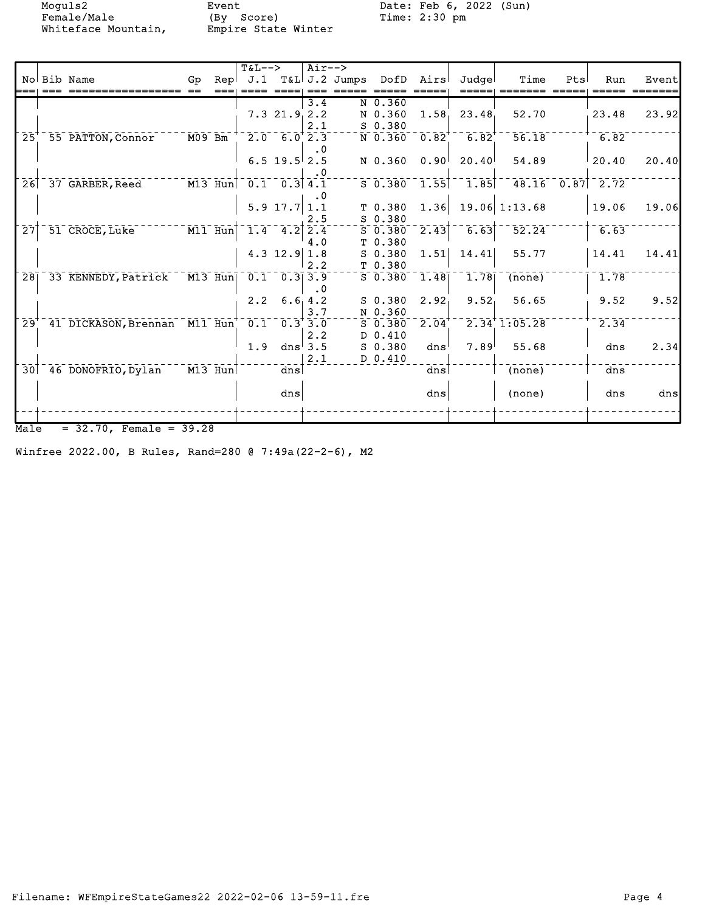Female/Male (By Score) Time: 2:30 pm Whiteface Mountain, Empire State Winter

Moguls2 Event Date: Feb 6, 2022 (Sun)<br>Female/Male (By Score) Time: 2:30 pm

|                           |                              |                     |           | $T&L--&>$                                       |                    | $Air--$             |                                 |                          |                   |                     |                             |     |                     |       |
|---------------------------|------------------------------|---------------------|-----------|-------------------------------------------------|--------------------|---------------------|---------------------------------|--------------------------|-------------------|---------------------|-----------------------------|-----|---------------------|-------|
|                           | No Bib Name                  | Go                  |           |                                                 |                    |                     | Rep J.1 T&L J.2 Jumps DofD Airs |                          |                   | Judgel              | Time                        | Pts | Run                 | Event |
|                           |                              |                     |           |                                                 |                    | 3.4                 |                                 | N 0.360                  |                   |                     |                             |     |                     |       |
|                           |                              |                     |           |                                                 | $7.3$ $21.9$ $2.2$ |                     |                                 | N 0.360                  | 1.58 <sub>1</sub> | 23.48               | 52.70                       |     | 23.48               | 23.92 |
|                           |                              |                     |           |                                                 |                    | 2.1                 |                                 | S 0.380                  |                   |                     |                             |     |                     |       |
| $\overline{25}$           | 55 PATTON, Connor            | $\overline{M09}$ Bm |           |                                                 | $2.0$ 6.0 $2.3$    | $\cdot$ 0           |                                 | $N$ 0.360 0.82           |                   | $6.82$ <sup>†</sup> | $\overline{56.18}$          |     | 6.82                |       |
|                           |                              |                     |           |                                                 | $6.5$ 19.5 2.5     |                     |                                 | N 0.360                  | 0.90 <sup>1</sup> | 20.40               | 54.89                       |     | 20.40               | 20.40 |
|                           |                              |                     |           |                                                 |                    | $\cdot$ 0           |                                 |                          |                   |                     |                             |     |                     |       |
| 26                        | 37 GARBER, Reed              |                     | $M13$ Hun | $\begin{bmatrix} 0.1 & 0.3 & 4.1 \end{bmatrix}$ |                    |                     |                                 | $5\overline{0.380}$ 1.55 |                   | $-1.85$             |                             |     | $48.16 - 0.87$ 2.72 |       |
|                           |                              |                     |           |                                                 |                    | . 0                 |                                 |                          |                   |                     |                             |     |                     |       |
|                           |                              |                     |           |                                                 | 5.9 17.7 $1.1$     | 2.5                 |                                 | T 0.380<br>$S$ 0.380     | 1.36              |                     | $19.06$ 1:13.68             |     | 19.06               | 19.06 |
| $\overline{27}$           | 51 CROCE, Luke               |                     |           | M11 Hun 1.4 4.2 2.4                             |                    |                     |                                 | $S_0.380$                | $\overline{2.43}$ | 6.63                | 52.24                       |     | 6.63                |       |
|                           |                              |                     |           |                                                 |                    | 4.0                 |                                 | T <sub>0.380</sub>       |                   |                     |                             |     |                     |       |
|                           |                              |                     |           |                                                 | 4.3 $12.9$ 1.8     |                     |                                 | $S_0.380$                | 1.51              | 14.41               | 55.77                       |     | 14.41               | 14.41 |
|                           |                              |                     |           |                                                 |                    | 2.2                 |                                 | T 0.380                  |                   |                     |                             |     |                     |       |
| $\overline{28}$           | 33 KENNEDY, Patrick          |                     | M13 Hun   | 0.1                                             | 0.313.9            |                     |                                 | $S$ 0.380                | 1.48              | 1.78                | (none)                      |     | 1.78                |       |
|                           |                              |                     |           | $2.2^{\circ}$                                   |                    | $\cdot$ 0<br>6.64.2 |                                 | $S_0.380$                | 2.92 <sub>1</sub> | 9.52                | 56.65                       |     | 9.52                | 9.52  |
|                           |                              |                     |           |                                                 |                    | 3.7                 |                                 | N 0.360                  |                   |                     |                             |     |                     |       |
| $\overline{29}^{\dagger}$ | 41 DICKASON, Brennan M11 Hun |                     |           | 0.1                                             |                    | 0.3'3.0             |                                 | $S_0.380$                | 2.04              |                     | $2.34$ <sup>+</sup> 1:05.28 |     | 2.34                |       |
|                           |                              |                     |           |                                                 |                    | 2.2                 |                                 | D 0.410                  |                   |                     |                             |     |                     |       |
|                           |                              |                     |           | 1.9                                             |                    | dns $3.5$           |                                 | $S_0.380$                | dns'              | 7.89                | 55.68                       |     | dns                 | 2.34  |
| $\overline{30}$           | 46 DONOFRIO, Dylan           |                     | $M13$ Hun |                                                 | dns                | 2.1                 |                                 | D 0.410                  | dns               |                     | (none)                      |     | dns                 |       |
|                           |                              |                     |           |                                                 |                    |                     |                                 |                          |                   |                     |                             |     |                     |       |
|                           |                              |                     |           |                                                 | $\frac{d}{ds}$     |                     |                                 |                          | dns               |                     | (none)                      |     | dns                 | dns   |
|                           |                              |                     |           |                                                 |                    |                     |                                 |                          |                   |                     |                             |     |                     |       |
|                           |                              |                     |           |                                                 |                    |                     |                                 |                          |                   |                     |                             |     |                     |       |

 $Male = 32.70$ , Female =  $39.28$ 

Winfree 2022.00, B Rules, Rand=280 @ 7:49a(22-2-6), M2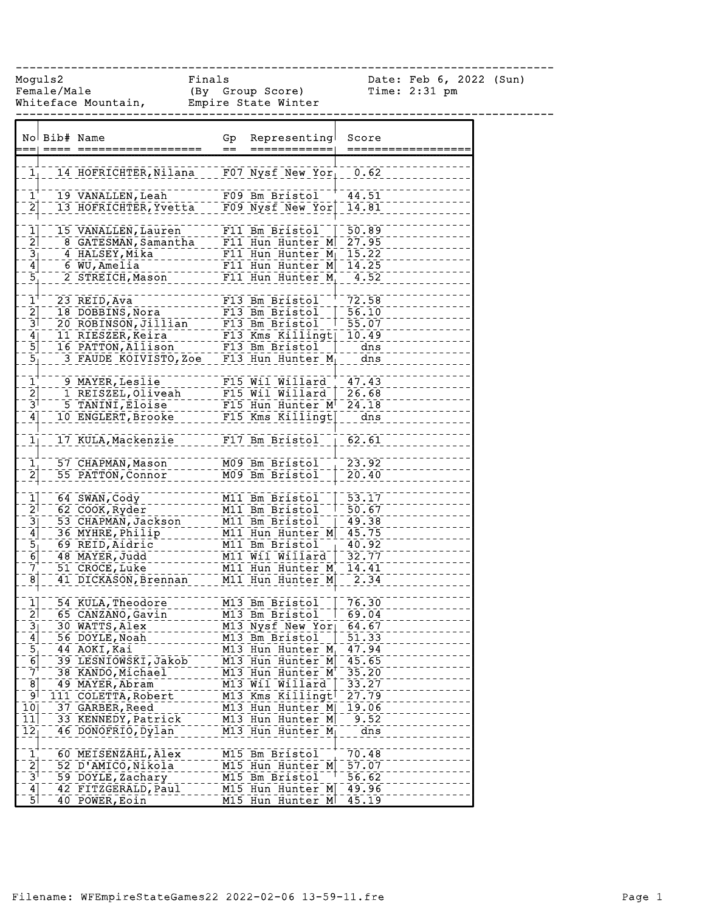Female/Male (By Group Score) Time: 2:31 pm Whiteface Mountain, Empire State Winter

------------------------------------------------------------------------------

Moguls2 Finals Date: Feb 6, 2022 (Sun)

|                                         | No Bib# Name |                                           | Gp<br>$=$ | Representing<br>============             | Score          |
|-----------------------------------------|--------------|-------------------------------------------|-----------|------------------------------------------|----------------|
|                                         |              |                                           |           |                                          |                |
| 1 <sub>1</sub>                          |              | 14 HOFRICHTER, Nilana                     |           | $F07$ Nysf New Yor                       | 0.62           |
| $\mathbf{1}^{\mathbf{1}}$               |              | 19 VANALLEN, Leah                         |           | F09 Bm Bristol <sup>--</sup>             | $-44.51$       |
| $\overline{2}$                          |              | 13 HOFRICHTER, Yvetta                     |           | F09 Nysf New Yor                         | 14.81          |
|                                         |              |                                           |           |                                          |                |
| $\bar{1}$                               |              | 15 VANALLEN, Lauren                       |           | F11 Bm Bristol                           | 50.89          |
| $\overline{2}$                          |              | 8 GATESMAN, Samantha                      |           | F11 Hun Hunter M                         | 27.95          |
|                                         |              | 4 HALSEY, Mika                            |           | $F11$ Hun Hunter $M_1$                   | 15.22          |
| $\frac{3}{4}$ $\frac{1}{5}$             |              | 6 WU, Amelia                              |           | F11 Hun Hunter M<br>F11 Hun Hunter M     | 14.25          |
|                                         |              | 2 STREICH, Mason                          |           |                                          | 4.52           |
| $\bar{1}^{\dagger}$                     |              | 23 REID, Ava                              |           | F13 Bm Bristol                           | 72.58          |
| $\begin{bmatrix} 2 \\ -3 \end{bmatrix}$ |              | 18 DOBBINS, Nora                          |           | F13 Bm Bristol                           | 56.10          |
|                                         |              | 20 ROBINSON, Jillian                      |           | F13 Bm Bristol                           | $-55.07$       |
| $\overline{4}$                          |              | 11 RIESZER, Keira                         |           | $F13$ Kms Killingt                       | 10.49          |
| $\overline{5}$                          |              | 16 PATTON, Allison                        |           | F13 Bm Bristol                           | $-$ dns        |
| $\overline{5}$                          |              | 3 FAUDE KOIVISTO, Zoe                     |           | F13 Hun Hunter $M_1$                     | dns            |
|                                         |              | 9 MAYER, Leslie                           |           | F15 Wil Willard <sup>-+</sup>            | 47.43          |
| $\frac{1}{2}$<br>$\frac{2}{3}$          |              | 1 REISZEL, Oliveah                        |           | F15 Wil Willard                          | 26.68          |
|                                         |              | 5 TANINI, Eloise                          |           | F15 Hun Hunter M                         | 24.18          |
| $\mathbf{4}$                            |              | 10 ENGLERT, Brooke                        |           | F15 Kms Killingt                         | dns            |
|                                         |              |                                           |           |                                          |                |
| $\overline{1}$                          |              | 17 KULA, Mackenzie                        |           | F17 Bm Bristol                           | $-62.61$       |
| $\bar{1}$                               |              | 57 CHAPMAN, Mason                         |           | M09 Bm Bristol                           | 23.92          |
| $\overline{2}$                          |              | 55 PATTON, Connor                         |           | M09 Bm Bristol                           | 20.40          |
|                                         |              |                                           |           |                                          |                |
| $\mathbf{1}$                            |              | 64 SWAN, Cody                             |           | M11 Bm Bristol                           | 53.17          |
| $\bar{2}$                               |              | 62 COOK, Ryder                            |           | M11 Bm Bristol                           | 50.67          |
| $\overline{3}$ ]                        |              | 53 CHAPMAN, Jackson                       |           | M11 Bm Bristol                           | 49.38          |
| $\overline{4}$<br>$\overline{5}$        |              | 36 MYHRE, Philip<br>69 REID, Aidric       |           | M11 Hun Hunter M<br>M11 Bm Bristol       | 45.75<br>40.92 |
| 6                                       |              | 48 MAYER, Judd                            |           | M11 Wil Willard                          | 32.77          |
| $\bar{7}^+$                             |              | 51 CROCE, Luke                            |           | M11 Hun Hunter M                         | 14.41          |
| $\overline{8}$                          |              | 41 DICKASON, Brennan                      |           | M11 Hun Hunter M                         | 2.34           |
|                                         |              |                                           |           |                                          |                |
| $\mathbf{1}$                            |              | 54 KULA, Theodore                         |           | M13 Bm Bristol                           | $-76.30$       |
| $\bar{2}$                               |              | 65 CANZANO, Gavin                         |           | M13 Bm Bristol                           | 69.04          |
| $\overline{3}$ ]                        |              | 30 WATTS, Alex<br>56 DOYLE, Noah          |           | M13 Nysf New Yor 64.67<br>M13 Bm Bristol | 51.33          |
| $\frac{4}{1}$<br>$\overline{5}$         |              | 44 AOKI, Kai                              |           | M13 Hun Hunter $M_1$                     | 47.94          |
| $\overline{6}$                          |              | 39 LESNIOWSKI, Jakob                      |           | M13 Hun Hunter M                         | $-45.65$       |
| $\bar{7}$ <sup>+</sup>                  |              | 38 KANDO, Michael                         |           | M13 Hun Hunter M                         | 35.20          |
| $\bar{8}$                               |              | 49 MAYER, Abram                           |           | M13 Wil Willard                          | 33.27          |
| ⊺و⊺                                     |              | 111 COLETTA, Robert                       |           | M13 Kms Killingt                         | 27.79          |
| 10                                      |              | 37 GARBER, Reed                           |           | M13 Hun Hunter M                         | 19.06          |
| 11 <br>$\overline{12}$                  |              | 33 KENNEDY, Patrick<br>46 DONOFRIO, Dylan |           | M13 Hun Hunter M<br>$M13$ Hun Hunter M   | 9.52<br>dns    |
|                                         |              |                                           |           |                                          |                |
|                                         |              | 60 MEISENZAHL, Alex                       |           | M15 Bm Bristol                           | 70.48          |
| $\frac{1}{2}$                           |              | 52 D'AMICO, Nikola                        |           | M15 Hun Hunter M                         | 57.07          |
| $\bar{3}^{\dagger}$                     |              | 59 DOYLE, Zachary                         |           | M15 Bm Bristol                           | 56.62          |
| $\overline{4}$                          |              | 42 FITZGERALD, Paul                       |           | M15 Hun Hunter M                         | 49.96          |
| $\overline{5}$                          |              | 40 POWER, Eoin                            |           | M15 Hun Hunter M                         | 45.19          |